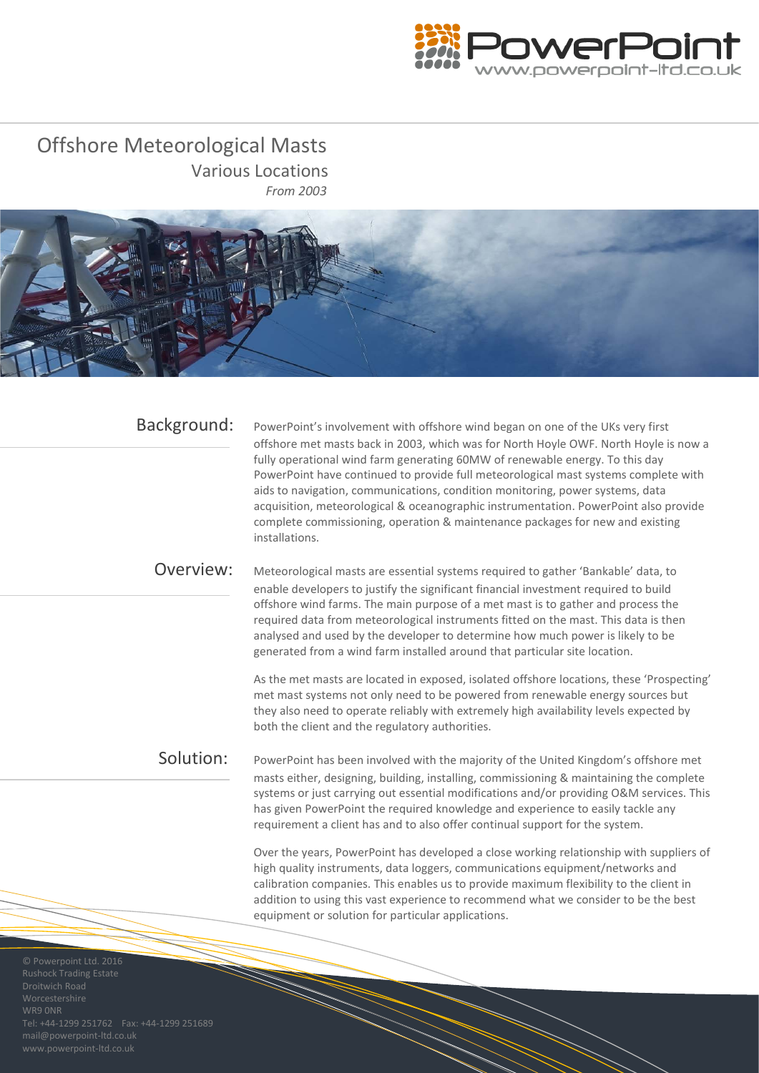

Offshore Meteorological Masts Various Locations *From 2003*



| Background:                                             | PowerPoint's involvement with offshore wind began on one of the UKs very first<br>offshore met masts back in 2003, which was for North Hoyle OWF. North Hoyle is now a<br>fully operational wind farm generating 60MW of renewable energy. To this day<br>PowerPoint have continued to provide full meteorological mast systems complete with<br>aids to navigation, communications, condition monitoring, power systems, data<br>acquisition, meteorological & oceanographic instrumentation. PowerPoint also provide<br>complete commissioning, operation & maintenance packages for new and existing<br>installations. |
|---------------------------------------------------------|---------------------------------------------------------------------------------------------------------------------------------------------------------------------------------------------------------------------------------------------------------------------------------------------------------------------------------------------------------------------------------------------------------------------------------------------------------------------------------------------------------------------------------------------------------------------------------------------------------------------------|
| Overview:                                               | Meteorological masts are essential systems required to gather 'Bankable' data, to<br>enable developers to justify the significant financial investment required to build<br>offshore wind farms. The main purpose of a met mast is to gather and process the<br>required data from meteorological instruments fitted on the mast. This data is then<br>analysed and used by the developer to determine how much power is likely to be<br>generated from a wind farm installed around that particular site location.                                                                                                       |
|                                                         | As the met masts are located in exposed, isolated offshore locations, these 'Prospecting'<br>met mast systems not only need to be powered from renewable energy sources but<br>they also need to operate reliably with extremely high availability levels expected by<br>both the client and the regulatory authorities.                                                                                                                                                                                                                                                                                                  |
| Solution:                                               | PowerPoint has been involved with the majority of the United Kingdom's offshore met<br>masts either, designing, building, installing, commissioning & maintaining the complete<br>systems or just carrying out essential modifications and/or providing O&M services. This<br>has given PowerPoint the required knowledge and experience to easily tackle any<br>requirement a client has and to also offer continual support for the system.                                                                                                                                                                             |
|                                                         | Over the years, PowerPoint has developed a close working relationship with suppliers of<br>high quality instruments, data loggers, communications equipment/networks and<br>calibration companies. This enables us to provide maximum flexibility to the client in<br>addition to using this vast experience to recommend what we consider to be the best<br>equipment or solution for particular applications.                                                                                                                                                                                                           |
| © Powerpoint Ltd. 2016<br><b>Rushock Trading Estate</b> |                                                                                                                                                                                                                                                                                                                                                                                                                                                                                                                                                                                                                           |

mail@powerpoint-ltd.co.uk